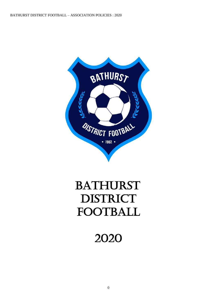

# BATHURST DISTRICT FOOTBALL

2020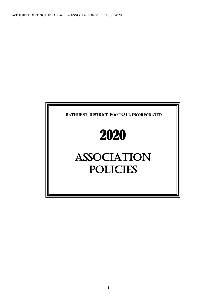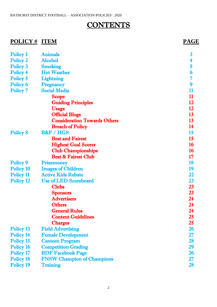### **CONTENTS**

### **POLICY # ITEM PAGE**

| <b>Policy 1</b>  | <b>Animals</b>                      | $\boldsymbol{3}$ |
|------------------|-------------------------------------|------------------|
| <b>Policy 2</b>  | <b>Alcohol</b>                      | 4                |
| Policy 3         | <b>Smoking</b>                      | 5                |
| <b>Policy 4</b>  | <b>Hot Weather</b>                  | 6                |
| Policy 5         | <b>Lightning</b>                    | 7                |
| Policy 6         | <b>Pregnancy</b>                    | 9                |
| <b>Policy 7</b>  | <b>Social Media</b>                 | 11               |
|                  | <b>Scope</b>                        | 11               |
|                  | <b>Guiding Principles</b>           | 12               |
|                  | <b>Usage</b>                        | 12               |
|                  | <b>Official Blogs</b>               | 13               |
|                  | <b>Consideration Towards Others</b> | 13               |
|                  | <b>Breach of Policy</b>             | 14               |
| <b>Policy 8</b>  | <b>B&amp;F / HGS</b>                | 15               |
|                  | <b>Best and Fairest</b>             | 15               |
|                  | <b>Highest Goal Scorer</b>          | <b>16</b>        |
|                  | <b>Club Championships</b>           | <b>16</b>        |
|                  | <b>Best &amp; Fairest Club</b>      | 17               |
| <b>Policy 9</b>  | <b>Prizemoney</b>                   | 18               |
| <b>Policy 10</b> | <b>Images of Children</b>           | 19               |
| Policy 11        | <b>Active Kids Rebate</b>           | 22               |
| <b>Policy 12</b> | <b>Use of LED Scoreboard</b>        | 23               |
|                  | <b>Clubs</b>                        | 23               |
|                  | <b>Sponsors</b>                     | 23               |
|                  | <b>Advertisers</b>                  | 24               |
|                  | <b>Others</b>                       | 24               |
|                  | <b>General Rules</b>                | 24               |
|                  | <b>Content Guidelines</b>           | 25               |
|                  | <b>Charges</b>                      | $25\,$           |
| Policy 13        | <b>Field Advertising</b>            | 26               |
| <b>Policy 14</b> | <b>Female Development</b>           | $27\,$           |
| <b>Policy 15</b> | <b>Canteen Program</b>              | 28               |
| Policy 16        | <b>Competition Grading</b>          | 29               |
| Policy 17        | <b>BDF Facebook Page</b>            | 26               |
| <b>Policy 18</b> | <b>FNSW Champion of Champions</b>   | 27               |
| <b>Policy 19</b> | <b>Training</b>                     | 28               |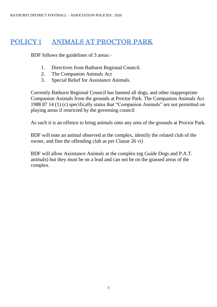### POLICY 1 ANIMALS AT PROCTOR PARK

BDF follows the guidelines of 3 areas:–

- 1. Directives from Bathurst Regional Council.
- 2. The Companion Animals Act
- 3. Special Relief for Assistance Animals.

Currently Bathurst Regional Council has banned all dogs, and other inappropriate Companion Animals from the grounds at Proctor Park. The Companion Animals Act 1988 87 14 (1) (c) specifically states that "Companion Animals" are not permitted on playing areas if restricted by the governing council

As such it is an offence to bring animals onto any area of the grounds at Proctor Park.

BDF will note an animal observed at the complex, identify the related club of the owner, and fine the offending club as per Clause 26 vi)

BDF will allow Assistance Animals at the complex (eg Guide Dogs and P.A.T. animals) but they must be on a lead and can not be on the grassed areas of the complex.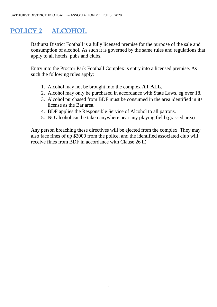### POLICY 2 ALCOHOL

Bathurst District Football is a fully licensed premise for the purpose of the sale and consumption of alcohol. As such it is governed by the same rules and regulations that apply to all hotels, pubs and clubs.

Entry into the Proctor Park Football Complex is entry into a licensed premise. As such the following rules apply:

- 1. Alcohol may not be brought into the complex **AT ALL**.
- 2. Alcohol may only be purchased in accordance with State Laws, eg over 18.
- 3. Alcohol purchased from BDF must be consumed in the area identified in its license as the Bar area.
- 4. BDF applies the Responsible Service of Alcohol to all patrons.
- 5. NO alcohol can be taken anywhere near any playing field (grassed area)

Any person breaching these directives will be ejected from the complex. They may also face fines of up \$2000 from the police, and the identified associated club will receive fines from BDF in accordance with Clause 26 ii)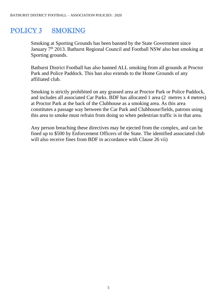### POLICY 3 SMOKING

Smoking at Sporting Grounds has been banned by the State Government since January 7<sup>th</sup> 2013. Bathurst Regional Council and Football NSW also ban smoking at Sporting grounds.

Bathurst District Football has also banned ALL smoking from all grounds at Proctor Park and Police Paddock. This ban also extends to the Home Grounds of any affiliated club.

Smoking is strictly prohibited on any grassed area at Proctor Park or Police Paddock, and includes all associated Car Parks. BDF has allocated 1 area (2 metres x 4 metres) at Proctor Park at the back of the Clubhouse as a smoking area. As this area constitutes a passage way between the Car Park and Clubhouse/fields, patrons using this area to smoke must refrain from doing so when pedestrian traffic is in that area.

Any person breaching these directives may be ejected from the complex, and can be fined up to \$500 by Enforcement Officers of the State. The identified associated club will also receive fines from BDF in accordance with Clause 26 vii)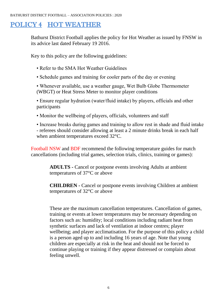## POLICY 4 HOT WEATHER

Bathurst District Football applies the policy for Hot Weather as issued by FNSW in its advice last dated February 19 2016.

Key to this policy are the following guidelines:

- Refer to the SMA Hot Weather Guidelines
- Schedule games and training for cooler parts of the day or evening

• Whenever available, use a weather gauge, Wet Bulb Globe Thermometer (WBGT) or Heat Stress Meter to monitor player conditions

• Ensure regular hydration (water/fluid intake) by players, officials and other participants

• Monitor the wellbeing of players, officials, volunteers and staff

• Increase breaks during games and training to allow rest in shade and fluid intake - referees should consider allowing at least a 2 minute drinks break in each half when ambient temperatures exceed 32°C.

Football NSW and BDF recommend the following temperature guides for match cancellations (including trial games, selection trials, clinics, training or games):

> **ADULTS -** Cancel or postpone events involving Adults at ambient temperatures of 37°C or above

**CHILDREN -** Cancel or postpone events involving Children at ambient temperatures of 32°C or above

These are the maximum cancellation temperatures. Cancellation of games, training or events at lower temperatures may be necessary depending on factors such as: humidity; local conditions including radiant heat from synthetic surfaces and lack of ventilation at indoor centres; player wellbeing; and player acclimatisation. For the purpose of this policy a child is a person aged up to and including 16 years of age. Note that young children are especially at risk in the heat and should not be forced to continue playing or training if they appear distressed or complain about feeling unwell.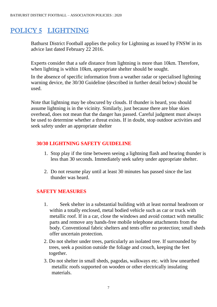### POLICY 5 LIGHTNING

Bathurst District Football applies the policy for Lightning as issued by FNSW in its advice last dated February 22 2016.

Experts consider that a safe distance from lightning is more than 10km. Therefore, when lighting is within 10km, appropriate shelter should be sought.

In the absence of specific information from a weather radar or specialised lightning warning device, the 30/30 Guideline (described in further detail below) should be used.

Note that lightning may be obscured by clouds. If thunder is heard, you should assume lightning is in the vicinity. Similarly, just because there are blue skies overhead, does not mean that the danger has passed. Careful judgment must always be used to determine whether a threat exists. If in doubt, stop outdoor activities and seek safety under an appropriate shelter

#### **30/30 LIGHTNING SAFETY GUIDELINE**

- 1. Stop play if the time between seeing a lightning flash and hearing thunder is less than 30 seconds. Immediately seek safety under appropriate shelter.
- 2. Do not resume play until at least 30 minutes has passed since the last thunder was heard.

#### **SAFETY MEASURES**

- 1. Seek shelter in a substantial building with at least normal headroom or within a totally enclosed, metal bodied vehicle such as car or truck with metallic roof. If in a car, close the windows and avoid contact with metallic parts and remove any hands-free mobile telephone attachments from the body. Conventional fabric shelters and tents offer no protection; small sheds offer uncertain protection.
- 2. Do not shelter under trees, particularly an isolated tree. If surrounded by trees, seek a position outside the foliage and crouch, keeping the feet together.
- 3. Do not shelter in small sheds, pagodas, walkways etc. with low unearthed metallic roofs supported on wooden or other electrically insulating materials.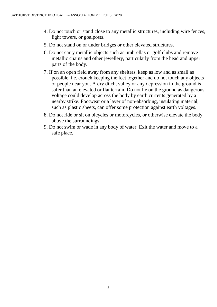- 4. Do not touch or stand close to any metallic structures, including wire fences, light towers, or goalposts.
- 5. Do not stand on or under bridges or other elevated structures.
- 6. Do not carry metallic objects such as umbrellas or golf clubs and remove metallic chains and other jewellery, particularly from the head and upper parts of the body.
- 7. If on an open field away from any shelters, keep as low and as small as possible, i.e. crouch keeping the feet together and do not touch any objects or people near you. A dry ditch, valley or any depression in the ground is safer than an elevated or flat terrain. Do not lie on the ground as dangerous voltage could develop across the body by earth currents generated by a nearby strike. Footwear or a layer of non-absorbing, insulating material, such as plastic sheets, can offer some protection against earth voltages.
- 8. Do not ride or sit on bicycles or motorcycles, or otherwise elevate the body above the surroundings.
- 9. Do not swim or wade in any body of water. Exit the water and move to a safe place.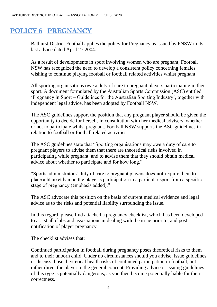### POLICY 6 PREGNANCY

Bathurst District Football applies the policy for Pregnancy as issued by FNSW in its last advice dated April 27 2004.

As a result of developments in sport involving women who are pregnant, Football NSW has recognized the need to develop a consistent policy concerning females wishing to continue playing football or football related activities whilst pregnant.

All sporting organisations owe a duty of care to pregnant players participating in their sport. A document formulated by the Australian Sports Commission (ASC) entitled 'Pregnancy in Sport – Guidelines for the Australian Sporting Industry', together with independent legal advice, has been adopted by Football NSW.

The ASC guidelines support the position that any pregnant player should be given the opportunity to decide for herself, in consultation with her medical advisers, whether or not to participate whilst pregnant. Football NSW supports the ASC guidelines in relation to football or football related activities.

The ASC guidelines state that "Sporting organisations may owe a duty of care to pregnant players to advise them that there are theoretical risks involved in participating while pregnant, and to advise them that they should obtain medical advice about whether to participate and for how long."

"Sports administrators' duty of care to pregnant players does **not** require them to place a blanket ban on the player's participation in a particular sport from a specific stage of pregnancy (emphasis added)."

The ASC advocate this position on the basis of current medical evidence and legal advice as to the risks and potential liability surrounding the issue.

In this regard, please find attached a pregnancy checklist, which has been developed to assist all clubs and associations in dealing with the issue prior to, and post notification of player pregnancy.

The checklist advises that:

Continued participation in football during pregnancy poses theoretical risks to them and to their unborn child. Under no circumstances should you advise, issue guidelines or discuss those theoretical health risks of continued participation in football, but rather direct the player to the general concept. Providing advice or issuing guidelines of this type is potentially dangerous, as you then become potentially liable for their correctness.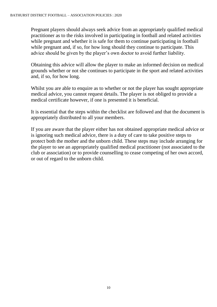Pregnant players should always seek advice from an appropriately qualified medical practitioner as to the risks involved in participating in football and related activities while pregnant and whether it is safe for them to continue participating in football while pregnant and, if so, for how long should they continue to participate. This advice should be given by the player's own doctor to avoid further liability.

Obtaining this advice will allow the player to make an informed decision on medical grounds whether or not she continues to participate in the sport and related activities and, if so, for how long.

Whilst you are able to enquire as to whether or not the player has sought appropriate medical advice, you cannot request details. The player is not obliged to provide a medical certificate however, if one is presented it is beneficial.

It is essential that the steps within the checklist are followed and that the document is appropriately distributed to all your members.

If you are aware that the player either has not obtained appropriate medical advice or is ignoring such medical advice, there is a duty of care to take positive steps to protect both the mother and the unborn child. These steps may include arranging for the player to see an appropriately qualified medical practitioner (not associated to the club or association) or to provide counselling to cease competing of her own accord, or out of regard to the unborn child.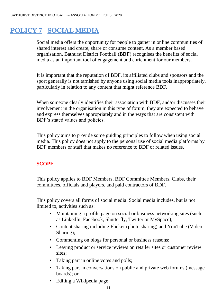### POLICY 7 SOCIAL MEDIA

Social media offers the opportunity for people to gather in online communities of shared interest and create, share or consume content. As a member based organisation, Bathurst District Football (**BDF**) recognises the benefits of social media as an important tool of engagement and enrichment for our members.

It is important that the reputation of BDF, its affiliated clubs and sponsors and the sport generally is not tarnished by anyone using social media tools inappropriately, particularly in relation to any content that might reference BDF.

When someone clearly identifies their association with BDF, and/or discusses their involvement in the organisation in this type of forum, they are expected to behave and express themselves appropriately and in the ways that are consistent with BDF's stated values and policies.

This policy aims to provide some guiding principles to follow when using social media. This policy does not apply to the personal use of social media platforms by BDF members or staff that makes no reference to BDF or related issues.

#### **SCOPE**

This policy applies to BDF Members, BDF Committee Members, Clubs, their committees, officials and players, and paid contractors of BDF.

This policy covers all forms of social media. Social media includes, but is not limited to, activities such as:

- Maintaining a profile page on social or business networking sites (such as LinkedIn, Facebook, Shutterfly, Twitter or MySpace);
- Content sharing including Flicker (photo sharing) and YouTube (Video Sharing);
- Commenting on blogs for personal or business reasons;
- Leaving product or service reviews on retailer sites or customer review sites;
- Taking part in online votes and polls;
- Taking part in conversations on public and private web forums (message boards); or
- Editing a Wikipedia page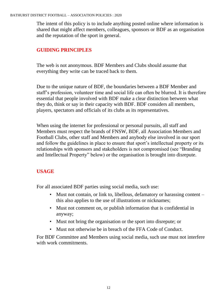The intent of this policy is to include anything posted online where information is shared that might affect members, colleagues, sponsors or BDF as an organisation and the reputation of the sport in general.

#### **GUIDING PRINCIPLES**

The web is not anonymous. BDF Members and Clubs should assume that everything they write can be traced back to them.

Due to the unique nature of BDF, the boundaries between a BDF Member and staff's profession, volunteer time and social life can often be blurred. It is therefore essential that people involved with BDF make a clear distinction between what they do, think or say in their capacity with BDF. BDF considers all members, players, spectators and officials of its clubs as its representatives.

When using the internet for professional or personal pursuits, all staff and Members must respect the brands of FNSW, BDF, all Association Members and Football Clubs, other staff and Members and anybody else involved in our sport and follow the guidelines in place to ensure that sport's intellectual property or its relationships with sponsors and stakeholders is not compromised (see "Branding and Intellectual Property" below) or the organisation is brought into disrepute.

#### **USAGE**

For all associated BDF parties using social media, such use:

- Must not contain, or link to, libellous, defamatory or harassing content this also applies to the use of illustrations or nicknames;
- Must not comment on, or publish information that is confidential in anyway;
- Must not bring the organisation or the sport into disrepute; or
- Must not otherwise be in breach of the FFA Code of Conduct.

For BDF Committee and Members using social media, such use must not interfere with work commitments.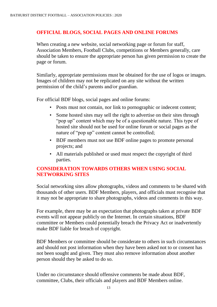#### **OFFICIAL BLOGS, SOCIAL PAGES AND ONLINE FORUMS**

When creating a new website, social networking page or forum for staff, Association Members, Football Clubs, competitions or Members generally, care should be taken to ensure the appropriate person has given permission to create the page or forum.

Similarly, appropriate permissions must be obtained for the use of logos or images. Images of children may not be replicated on any site without the written permission of the child's parents and/or guardian.

For official BDF blogs, social pages and online forums:

- Posts must not contain, nor link to pornographic or indecent content;
- Some hosted sites may sell the right to advertise on their sites through "pop up" content which may be of a questionable nature. This type of hosted site should not be used for online forum or social pages as the nature of "pop up" content cannot be controlled;
- BDF members must not use BDF online pages to promote personal projects; and
- All materials published or used must respect the copyright of third parties.

#### **CONSIDERATION TOWARDS OTHERS WHEN USING SOCIAL NETWORKING SITES**

Social networking sites allow photographs, videos and comments to be shared with thousands of other users. BDF Members, players, and officials must recognise that it may not be appropriate to share photographs, videos and comments in this way.

For example, there may be an expectation that photographs taken at private BDF events will not appear publicly on the Internet. In certain situations, BDF committee or Members could potentially breach the Privacy Act or inadvertently make BDF liable for breach of copyright.

BDF Members or committee should be considerate to others in such circumstances and should not post information when they have been asked not to or consent has not been sought and given. They must also remove information about another person should they be asked to do so.

Under no circumstance should offensive comments be made about BDF, committee, Clubs, their officials and players and BDF Members online.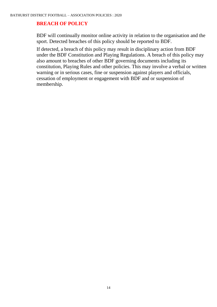#### **BREACH OF POLICY**

BDF will continually monitor online activity in relation to the organisation and the sport. Detected breaches of this policy should be reported to BDF.

If detected, a breach of this policy may result in disciplinary action from BDF under the BDF Constitution and Playing Regulations. A breach of this policy may also amount to breaches of other BDF governing documents including its constitution, Playing Rules and other policies. This may involve a verbal or written warning or in serious cases, fine or suspension against players and officials, cessation of employment or engagement with BDF and or suspension of membership.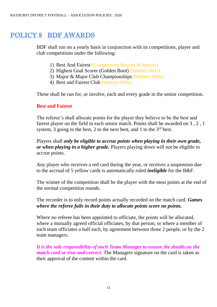### POLICY 8 BDF AWARDS

BDF shall run on a yearly basis in conjunction with its competitions, player and club competitions under the following:

- 1) Best And Fairest (Competitive Seniors & Juniors)
- 2) Highest Goal Scorer (Golden Boot) (Seniors Only)
- 3) Major & Major Club Championships (Seniors Only)
- 4) Best and Fairest Club (Seniors Only)

These shall be run for, or involve, each and every grade in the senior competition.

#### **Best and Fairest**

The referee's shall allocate points for the player they believe to be the best and fairest player on the field in each senior match. Points shall be awarded on 3 , 2 , 1 system, 3 going to the best, 2 to the next best, and 1 to the  $3<sup>rd</sup>$  best.

Players shall *only be eligible to accrue points when playing in their own grade, or when playing in a higher grade.* Players playing down will not be eligible to accrue points.

Any player who receives a red card during the year, or receives a suspension due to the accrual of 5 yellow cards is automatically ruled *ineligible* for the B&F.

The winner of the competition shall be the player with the most points at the end of the normal competition rounds.

The recorder is to only record points actually recorded on the match card. *Games where the referee fails in their duty to allocate points score no points.*

Where no referee has been appointed to officiate, the points will be allocated, where a mutually agreed official officiates, by that person, or where a member of each team officiates a half each, by agreement between those 2 people, or by the 2 team managers.

*It is the sole responsibility of each Team Manager to ensure the details on the match card or true and correct*. The Managers signature on the card is taken as their approval of the content within the card.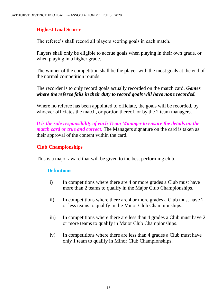#### **Highest Goal Scorer**

The referee's shall record all players scoring goals in each match.

Players shall only be eligible to accrue goals when playing in their own grade, or when playing in a higher grade.

The winner of the competition shall be the player with the most goals at the end of the normal competition rounds.

The recorder is to only record goals actually recorded on the match card. *Games where the referee fails in their duty to record goals will have none recorded.*

Where no referee has been appointed to officiate, the goals will be recorded, by whoever officiates the match, or portion thereof, or by the 2 team managers.

*It is the sole responsibility of each Team Manager to ensure the details on the match card or true and correct.* The Managers signature on the card is taken as their approval of the content within the card.

#### **Club Championships**

This is a major award that will be given to the best performing club.

#### **Definitions**

- i) In competitions where there are 4 or more grades a Club must have more than 2 teams to qualify in the Major Club Championships.
- ii) In competitions where there are 4 or more grades a Club must have 2 or less teams to qualify in the Minor Club Championships.
- iii) In competitions where there are less than 4 grades a Club must have 2 or more teams to qualify in Major Club Championships.
- iv) In competitions where there are less than 4 grades a Club must have only 1 team to qualify in Minor Club Championships.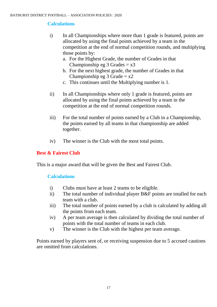#### **Calculations**

- i) In all Championships where more than 1 grade is featured, points are allocated by using the final points achieved by a team in the competition at the end of normal competition rounds, and multiplying those points by:
	- a. For the Highest Grade, the number of Grades in that Championship eg  $3$  Grades =  $x3$
	- b. For the next highest grade, the number of Grades in that Championship eg 3 Grade  $= x2$
	- c. This continues until the Multiplying number is 1.
- ii) In all Championships where only 1 grade is featured, points are allocated by using the final points achieved by a team in the competition at the end of normal competition rounds.
- iii) For the total number of points earned by a Club in a Championship, the points earned by all teams in that championship are added together.
- iv) The winner is the Club with the most total points.

#### **Best & Fairest Club**

This is a major award that will be given the Best and Fairest Club.

#### **Calculations**

- i) Clubs must have at least 2 teams to be eligible.
- ii) The total number of individual player B&F points are totalled for each team with a club.
- iii) The total number of points earned by a club is calculated by adding all the points from each team.
- iv) A per team average is then calculated by dividing the total number of points with the total number of teams in each club.
- v) The winner is the Club with the highest per team average.

Points earned by players sent of, or receiving suspension due to 5 accrued cautions are omitted from calculations.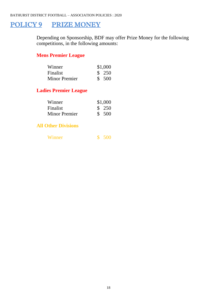### POLICY 9 PRIZE MONEY

Depending on Sponsorship, BDF may offer Prize Money for the following competitions, in the following amounts:

### **Mens Premier League**

| Winner               | \$1,000 |
|----------------------|---------|
| Finalist             | \$250   |
| <b>Minor Premier</b> | \$500   |

#### **Ladies Premier League**

| Winner               | \$1,000 |
|----------------------|---------|
| Finalist             | \$250   |
| <b>Minor Premier</b> | \$ 500  |

#### **All Other Divisions**

| Winner |  | 500 <sub>2</sub> |
|--------|--|------------------|
|--------|--|------------------|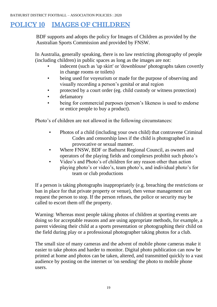### POLICY 10 IMAGES OF CHILDREN

BDF supports and adopts the policy for Images of Children as provided by the Australian Sports Commission and provided by FNSW.

In Australia, generally speaking, there is no law restricting photography of people (including children) in public spaces as long as the images are not:

- indecent (such as 'up skirt' or 'downblouse' photographs taken covertly in change rooms or toilets)
- being used for voyeurism or made for the purpose of observing and visually recording a person's genital or anal region
- protected by a court order (eg. child custody or witness protection)
- defamatory
- being for commercial purposes (person's likeness is used to endorse or entice people to buy a product).

Photo's of children are not allowed in the following circumstances:

- Photos of a child (including your own child) that contravene Criminal Codes and censorship laws if the child is photographed in a provocative or sexual manner.
- Where FNSW, BDF or Bathurst Regional Council, as owners and operators of the playing fields and complexes prohibit such photo's
- Video's and Photo's of children for any reason other than action playing photo's or video's, team photo's, and individual photo's for team or club productions

If a person is taking photographs inappropriately (e.g. breaching the restrictions or ban in place for that private property or venue), then venue management can request the person to stop. If the person refuses, the police or security may be called to escort them off the property.

Warning: Whereas most people taking photos of children at sporting events are doing so for acceptable reasons and are using appropriate methods, for example, a parent videoing their child at a sports presentation or photographing their child on the field during play or a professional photographer taking photos for a club.

The small size of many cameras and the advent of mobile phone cameras make it easier to take photos and harder to monitor. Digital photo publication can now be printed at home and photos can be taken, altered, and transmitted quickly to a vast audience by posting on the internet or 'on sending' the photo to mobile phone users.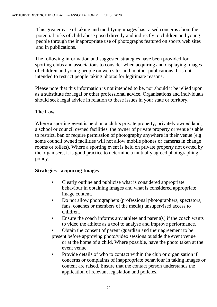This greater ease of taking and modifying images has raised concerns about the potential risks of child abuse posed directly and indirectly to children and young people through the inappropriate use of photographs featured on sports web sites and in publications.

The following information and suggested strategies have been provided for sporting clubs and associations to consider when acquiring and displaying images of children and young people on web sites and in other publications. It is not intended to restrict people taking photos for legitimate reasons.

Please note that this information is not intended to be, nor should it be relied upon as a substitute for legal or other professional advice. Organisations and individuals should seek legal advice in relation to these issues in your state or territory.

#### **The Law**

Where a sporting event is held on a club's private property, privately owned land, a school or council owned facilities, the owner of private property or venue is able to restrict, ban or require permission of photography anywhere in their venue (e.g. some council owned facilities will not allow mobile phones or cameras in change rooms or toilets). Where a sporting event is held on private property not owned by the organisers, it is good practice to determine a mutually agreed photographing policy.

#### **Strategies - acquiring Images**

- Clearly outline and publicise what is considered appropriate behaviour in obtaining images and what is considered appropriate image content.
- Do not allow photographers (professional photographers, spectators, fans, coaches or members of the media) unsupervised access to children.
- Ensure the coach informs any athlete and parent $(s)$  if the coach wants to video the athlete as a tool to analyse and improve performance.

• Obtain the consent of parent /guardian and their agreement to be present before approving photo/video sessions outside the event venue or at the home of a child. Where possible, have the photo taken at the event venue.

• Provide details of who to contact within the club or organisation if concerns or complaints of inappropriate behaviour in taking images or content are raised. Ensure that the contact person understands the application of relevant legislation and policies.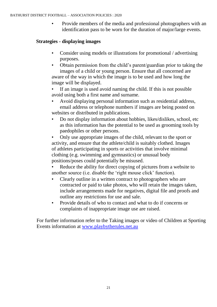• Provide members of the media and professional photographers with an identification pass to be worn for the duration of major/large events.

#### **Strategies - displaying images**

- Consider using models or illustrations for promotional / advertising purposes.
- Obtain permission from the child's parent/guardian prior to taking the images of a child or young person. Ensure that all concerned are aware of the way in which the image is to be used and how long the image will be displayed.

If an image is used avoid naming the child. If this is not possible avoid using both a first name and surname.

- Avoid displaying personal information such as residential address, email address or telephone numbers if images are being posted on websites or distributed in publications.
- Do not display information about hobbies, likes/dislikes, school, etc as this information has the potential to be used as grooming tools by paedophiles or other persons.

• Only use appropriate images of the child, relevant to the sport or activity, and ensure that the athlete/child is suitably clothed. Images of athletes participating in sports or activities that involve minimal clothing (e.g. swimming and gymnastics) or unusual body positions/poses could potentially be misused.

- Reduce the ability for direct copying of pictures from a website to another source (i.e. disable the 'right mouse click' function).
- Clearly outline in a written contract to photographers who are contracted or paid to take photos, who will retain the images taken, include arrangements made for negatives, digital file and proofs and outline any restrictions for use and sale.
- Provide details of who to contact and what to do if concerns or complaints of inappropriate image use are raised.

For further information refer to the Taking images or video of Children at Sporting Events information at [www.playbytherules.net.au](http://www.playbytherules.net.au/)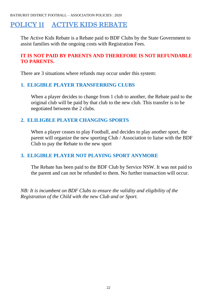BATHURST DISTRICT FOOTBALL – ASSOCIATION POLICIES : 2020

### POLICY 11 ACTIVE KIDS REBATE

The Active Kids Rebate is a Rebate paid to BDF Clubs by the State Government to assist families with the ongoing costs with Registration Fees.

#### **IT IS NOT PAID BY PARENTS AND THEREFORE IS NOT REFUNDABLE TO PARENTS.**

There are 3 situations where refunds may occur under this system:

#### **1. ELIGIBLE PLAYER TRANSFERRING CLUBS**

When a player decides to change from 1 club to another, the Rebate paid to the original club will be paid by that club to the new club. This transfer is to be negotiated between the 2 clubs.

#### **2. ELILIGBLE PLAYER CHANGING SPORTS**

When a player ceases to play Football, and decides to play another sport, the parent will organize the new sporting Club / Association to liaise with the BDF Club to pay the Rebate to the new sport

#### **3. ELIGIBLE PLAYER NOT PLAYING SPORT ANYMORE**

The Rebate has been paid to the BDF Club by Service NSW. It was not paid to the parent and can not be refunded to them. No further transaction will occur.

*NB: It is incumbent on BDF Clubs to ensure the validity and eligibility of the Registration of the Child with the new Club and or Sport.*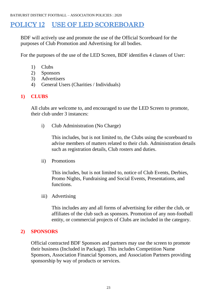### POLICY 12 USE OF LED SCOREBOARD

BDF will actively use and promote the use of the Official Scoreboard for the purposes of Club Promotion and Advertising for all bodies.

For the purposes of the use of the LED Screen, BDF identifies 4 classes of User:

- 1) Clubs
- 2) Sponsors
- 3) Advertisers
- 4) General Users (Charities / Individuals)

#### **1) CLUBS**

All clubs are welcome to, and encouraged to use the LED Screen to promote, their club under 3 instances:

i) Club Administration (No Charge)

This includes, but is not limited to, the Clubs using the scoreboard to advise members of matters related to their club. Administration details such as registration details, Club rosters and duties.

ii) Promotions

This includes, but is not limited to, notice of Club Events, Derbies, Promo Nights, Fundraising and Social Events, Presentations, and functions.

iii) Advertising

This includes any and all forms of advertising for either the club, or affiliates of the club such as sponsors. Promotion of any non-football entity, or commercial projects of Clubs are included in the category.

#### **2) SPONSORS**

Official contracted BDF Sponsors and partners may use the screen to promote their business (Included in Package). This includes Competition Name Sponsors, Association Financial Sponsors, and Association Partners providing sponsorship by way of products or services.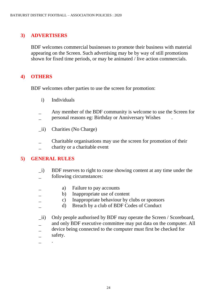#### **3) ADVERTISERS**

BDF welcomes commercial businesses to promote their business with material appearing on the Screen. Such advertising may be by way of still promotions shown for fixed time periods, or may be animated / live action commercials.

#### **4) OTHERS**

BDF welcomes other parties to use the screen for promotion:

- i) Individuals
- \_ Any member of the BDF community is welcome to use the Screen for
- personal reasons eg: Birthday or Anniversary Wishes
- \_ii) Charities (No Charge)
- \_ Charitable organisations may use the screen for promotion of their
- charity or a charitable event

#### **5) GENERAL RULES**

- \_i) BDF reserves to right to cease showing content at any time under the following circumstances:
	- a) Failure to pay accounts
		- b) Inappropriate use of content
		- \_ c) Inappropriate behaviour by clubs or sponsors
- \_ d) Breach by a club of BDF Codes of Conduct
- \_ii) Only people authorised by BDF may operate the Screen / Scoreboard,
- and only BDF executive committee may put data on the computer. All
- device being connected to the computer must first be checked for safety.
- 
- $\overline{\phantom{0}}$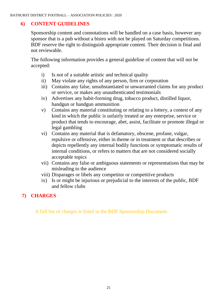#### **6) CONTENT GUIDELINES**

Sponsorship content and connotations will be handled on a case basis, however any sponsor that is a pub without a bistro with not be played on Saturday competitions. BDF reserve the right to distinguish appropriate content. Their decision is final and not reviewable.

The following information provides a general guideline of content that will not be accepted:

- i) Is not of a suitable artistic and technical quality
- ii) May violate any rights of any person, firm or corporation
- iii) Contains any false, unsubstantiated or unwarranted claims for any product or service, or makes any unauthenticated testimonials
- iv) Advertises any habit-forming drug, tobacco product, distilled liquor, handgun or handgun ammunition
- v) Contains any material constituting or relating to a lottery, a contest of any kind in which the public is unfairly treated or any enterprise, service or product that tends to encourage, abet, assist, facilitate or promote illegal or legal gambling
- vi) Contains any material that is defamatory, obscene, profane, vulgar, repulsive or offensive, either in theme or in treatment or that describes or depicts repellently any internal bodily functions or symptomatic results of internal conditions, or refers to matters that are not considered socially acceptable topics
- vii) Contains any false or ambiguous statements or representations that may be misleading to the audience
- viii) Disparages or libels any competitor or competitive products
- ix) Is or might be injurious or prejudicial to the interests of the public, BDF and fellow clubs

#### **7) CHARGES**

A full list of charges is listed in the BDF Sponsorship Document.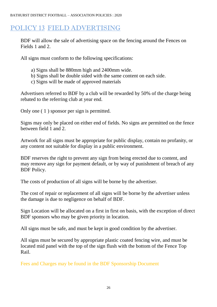### POLICY 13 FIELD ADVERTISING

BDF will allow the sale of advertising space on the fencing around the Fences on Fields 1 and 2.

All signs must conform to the following specifications:

- a) Signs shall be 880mm high and 2400mm wide.
- b) Signs shall be double sided with the same content on each side.
- c) Signs will be made of approved materials

Advertisers referred to BDF by a club will be rewarded by 50% of the charge being rebated to the referring club at year end.

Only one ( 1 ) sponsor per sign is permitted.

Signs may only be placed on either end of fields. No signs are permitted on the fence between field 1 and 2.

Artwork for all signs must be appropriate for public display, contain no profanity, or any content not suitable for display in a public environment.

BDF reserves the right to prevent any sign from being erected due to content, and may remove any sign for payment default, or by way of punishment of breach of any BDF Policy.

The costs of production of all signs will be borne by the advertiser.

The cost of repair or replacement of all signs will be borne by the advertiser unless the damage is due to negligence on behalf of BDF.

Sign Location will be allocated on a first in first on basis, with the exception of direct BDF sponsors who may be given priority in location.

All signs must be safe, and must be kept in good condition by the advertiser.

All signs must be secured by appropriate plastic coated fencing wire, and must be located mid panel with the top of the sign flush with the bottom of the Fence Top Rail.

Fees and Charges may be found in the BDF Sponsorship Document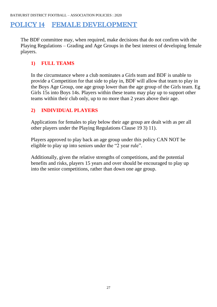BATHURST DISTRICT FOOTBALL – ASSOCIATION POLICIES : 2020

### POLICY 14 FEMALE DEVELOPMENT

The BDF committee may, when required, make decisions that do not confirm with the Playing Regulations – Grading and Age Groups in the best interest of developing female players.

#### **1) FULL TEAMS**

In the circumstance where a club nominates a Girls team and BDF is unable to provide a Competition for that side to play in, BDF will allow that team to play in the Boys Age Group, one age group lower than the age group of the Girls team. Eg Girls 15s into Boys 14s. Players within these teams may play up to support other teams within their club only, up to no more than 2 years above their age.

#### **2) INDIVIDUAL PLAYERS**

Applications for females to play below their age group are dealt with as per all other players under the Playing Regulations Clause 19 3) 11).

Players approved to play back an age group under this policy CAN NOT be eligible to play up into seniors under the "2 year rule".

Additionally, given the relative strengths of competitions, and the potential benefits and risks, players 15 years and over should be encouraged to play up into the senior competitions, rather than down one age group.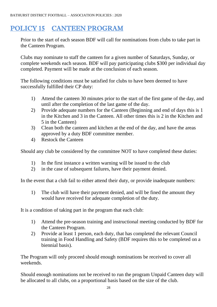### POLICY 15 CANTEEN PROGRAM

Prior to the start of each season BDF will call for nominations from clubs to take part in the Canteen Program.

Clubs may nominate to staff the canteen for a given number of Saturdays, Sunday, or complete weekends each season. BDF will pay participating clubs \$300 per individual day completed. Payment will be made at the conclusion of each season.

The following conditions must be satisfied for clubs to have been deemed to have successfully fulfilled their CP duty:

- 1) Attend the canteen 30 minutes prior to the start of the first game of the day, and until after the completion of the last game of the day.
- 2) Provide adequate numbers for the Canteen (Beginning and end of days this is 1 in the Kitchen and 3 in the Canteen. All other times this is 2 in the Kitchen and 5 in the Canteen)
- 3) Clean both the canteen and kitchen at the end of the day, and have the areas approved by a duty BDF committee member.
- 4) Restock the Canteen

Should any club be considered by the committee NOT to have completed these duties:

- 1) In the first instance a written warning will be issued to the club
- 2) in the case of subsequent failures, have their payment denied.

In the event that a club fail to either attend their duty, or provide inadequate numbers:

1) The club will have their payment denied, and will be fined the amount they would have received for adequate completion of the duty.

It is a condition of taking part in the program that each club:

- 1) Attend the pre-season training and instructional meeting conducted by BDF for the Canteen Program.
- 2) Provide at least 1 person, each duty, that has completed the relevant Council training in Food Handling and Safety (BDF requires this to be completed on a biennial basis).

The Program will only proceed should enough nominations be received to cover all weekends.

Should enough nominations not be received to run the program Unpaid Canteen duty will be allocated to all clubs, on a proportional basis based on the size of the club.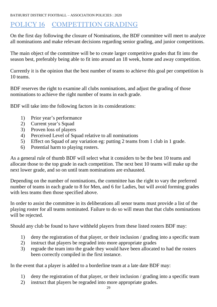BATHURST DISTRICT FOOTBALL – ASSOCIATION POLICIES : 2020

### POLICY 16 COMPETITION GRADING

On the first day following the closure of Nominations, the BDF committee will meet to analyze all nominations and make relevant decisions regarding senior grading, and junior competitions.

The main object of the committee will be to create larger competitive grades that fit into the season best, preferably being able to fit into around an 18 week, home and away competition.

Currently it is the opinion that the best number of teams to achieve this goal per competition is 10 teams.

BDF reserves the right to examine all clubs nominations, and adjust the grading of those nominations to achieve the right number of teams in each grade.

BDF will take into the following factors in its considerations:

- 1) Prior year's performance
- 2) Current year's Squad
- 3) Proven loss of players
- 4) Perceived Level of Squad relative to all nominations
- 5) Effect on Squad of any variation eg: putting 2 teams from 1 club in 1 grade.
- 6) Potential harm to playing rosters.

As a general rule of thumb BDF will select what it considers to be the best 10 teams and allocate those to the top grade in each competition. The next best 10 teams will make up the next lower grade, and so on until team nominations are exhausted.

Depending on the number of nominations, the committee has the right to vary the preferred number of teams in each grade to 8 for Men, and 6 for Ladies, but will avoid forming grades with less teams then those specified above.

In order to assist the committee in its deliberations all senor teams must provide a list of the playing roster for all teams nominated. Failure to do so will mean that that clubs nominations will be rejected.

Should any club be found to have withheld players from these listed rosters BDF may:

- 1) deny the registration of that player, or their inclusion / grading into a specific team
- 2) instruct that players be regraded into more appropriate grades
- 3) regrade the team into the grade they would have been allocated to had the rosters been correctly compiled in the first instance.

In the event that a player is added to a borderline team at a late date BDF may:

- 1) deny the registration of that player, or their inclusion / grading into a specific team
- 2) instruct that players be regraded into more appropriate grades.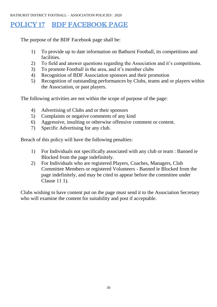### POLICY 17 BDF FACEBOOK PAGE

The purpose of the BDF Facebook page shall be:

- 1) To provide up to date information on Bathurst Football, its competitions and facilities.
- 2) To field and answer questions regarding the Association and it's competitions.
- 3) To promote Football in the area, and it's member clubs
- 4) Recognition of BDF Association sponsors and their promotion
- 5) Recognition of outstanding performances by Clubs, teams and or players within the Association, or past players.

The following activities are not within the scope of purpose of the page:

- 4) Advertising of Clubs and or their sponsors
- 5) Complaints or negative comments of any kind
- 6) Aggressive, insulting or otherwise offensive comment or content.
- 7) Specific Advertising for any club.

Breach of this policy will have the following penalties:

- 1) For Individuals not specifically associated with any club or team : Banned ie Blocked from the page indefinitely.
- 2) For Individuals who are registered Players, Coaches, Managers, Club Committee Members or registered Volunteers - Banned ie Blocked from the page indefinitely, and may be cited to appear before the committee under Clause 11 1).

Clubs wishing to have content put on the page must send it to the Association Secretary who will examine the content for suitability and post if acceptable.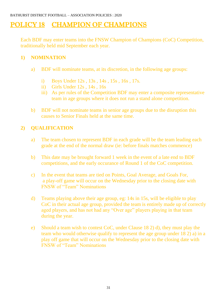### POLICY 18 CHAMPION OF CHAMPIONS

Each BDF may enter teams into the FNSW Champion of Champions (CoC) Competition, traditionally held mid September each year.

#### **1) NOMINATION**

- a) BDF will nominate teams, at its discretion, in the following age groups:
	- i) Boys Under 12s , 13s , 14s , 15s , 16s , 17s.
	- ii) Girls Under 12s , 14s , 16s
	- iii) As per rules of the Competition BDF may enter a composite representative team in age groups where it does not run a stand alone competition.
- b) BDF will not nominate teams in senior age groups due to the disruption this causes to Senior Finals held at the same time.

#### **2) QUALIFICATION**

- a) The team chosen to represent BDF in each grade will be the team leading each grade at the end of the normal draw (ie: before finals matches commence)
- b) This date may be brought forward 1 week in the event of a late end to BDF competitions, and the early occurance of Round 1 of the CoC competition.
- c) In the event that teams are tied on Points, Goal Average, and Goals For, a play-off game will occur on the Wednesday prior to the closing date with FNSW of "Team" Nominations
- d) Teams playing above their age group, eg: 14s in 15s, will be eligible to play CoC in their actual age group, provided the team is entirely made up of correctly aged players, and has not had any "Over age" players playing in that team during the year.
- e) Should a team wish to contest CoC, under Clause 18 2) d), they must play the team who would otherwise qualify to represent the age group under 18 2) a) in a play off game that will occur on the Wednesday prior to the closing date with FNSW of "Team" Nominations